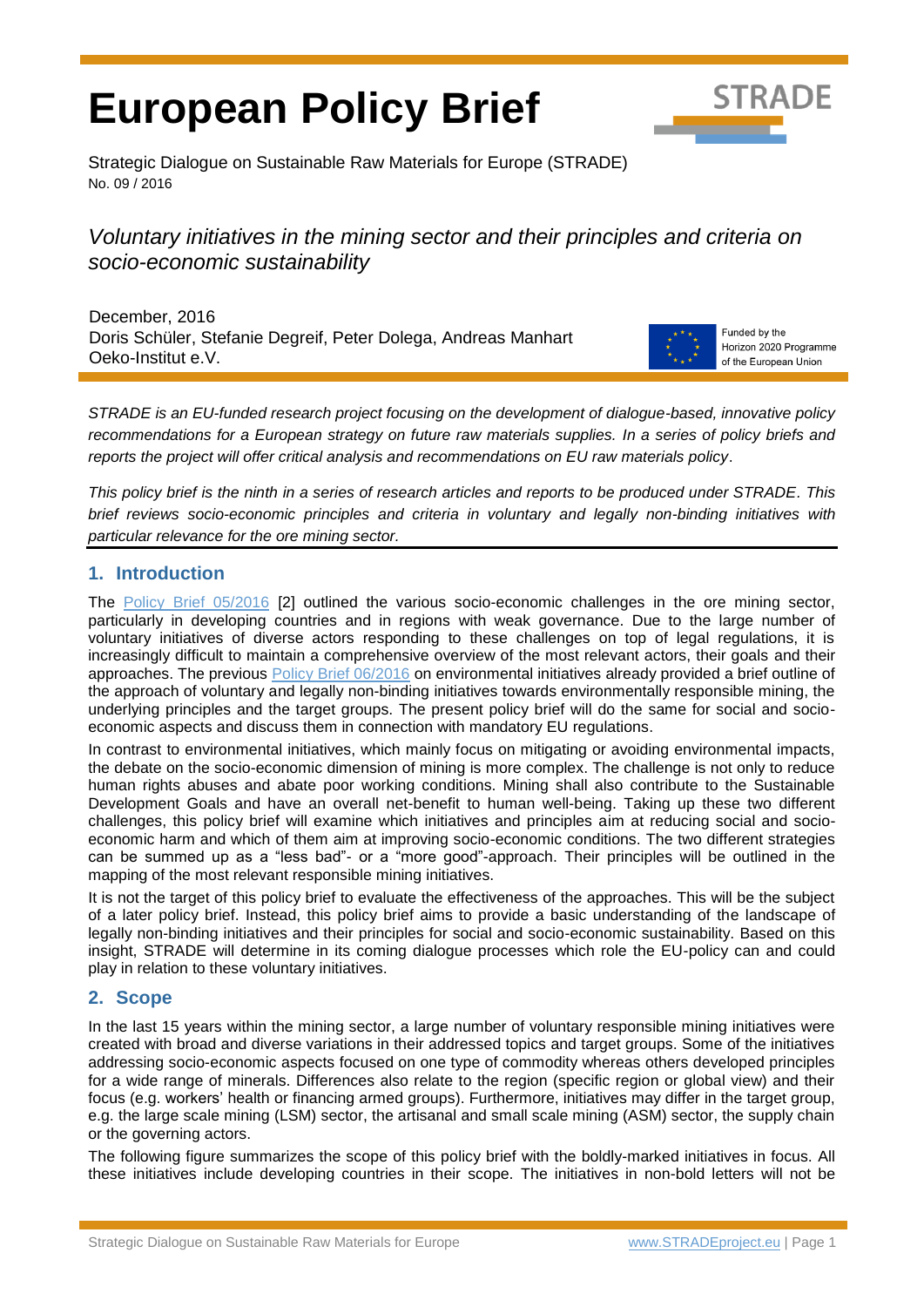# **European Policy Brief**



Strategic Dialogue on Sustainable Raw Materials for Europe (STRADE) No. 09 / 2016

## *Voluntary initiatives in the mining sector and their principles and criteria on socio-economic sustainability*

December, 2016 Doris Schüler, Stefanie Degreif, Peter Dolega, Andreas Manhart Oeko-Institut e.V.



Funded by the Horizon 2020 Programme of the European Union

*STRADE is an EU-funded research project focusing on the development of dialogue-based, innovative policy recommendations for a European strategy on future raw materials supplies. In a series of policy briefs and reports the project will offer critical analysis and recommendations on EU raw materials policy*.

*This policy brief is the ninth in a series of research articles and reports to be produced under STRADE. This brief reviews socio-economic principles and criteria in voluntary and legally non-binding initiatives with particular relevance for the ore mining sector.*

#### **1. Introduction**

The [Policy Brief 05/2016](http://www.stradeproject.eu/fileadmin/user_upload/pdf/PolicyBrief_05-2016_Oct2016_FINAL.pdf) [2] outlined the various socio-economic challenges in the ore mining sector, particularly in developing countries and in regions with weak governance. Due to the large number of voluntary initiatives of diverse actors responding to these challenges on top of legal regulations, it is increasingly difficult to maintain a comprehensive overview of the most relevant actors, their goals and their approaches. The previous [Policy Brief 06/2016](http://www.stradeproject.eu/fileadmin/user_upload/pdf/PolicyBrief_06-2016_Nov2016_FINAL.pdf) on environmental initiatives already provided a brief outline of the approach of voluntary and legally non-binding initiatives towards environmentally responsible mining, the underlying principles and the target groups. The present policy brief will do the same for social and socioeconomic aspects and discuss them in connection with mandatory EU regulations.

In contrast to environmental initiatives, which mainly focus on mitigating or avoiding environmental impacts, the debate on the socio-economic dimension of mining is more complex. The challenge is not only to reduce human rights abuses and abate poor working conditions. Mining shall also contribute to the Sustainable Development Goals and have an overall net-benefit to human well-being. Taking up these two different challenges, this policy brief will examine which initiatives and principles aim at reducing social and socioeconomic harm and which of them aim at improving socio-economic conditions. The two different strategies can be summed up as a "less bad"- or a "more good"-approach. Their principles will be outlined in the mapping of the most relevant responsible mining initiatives.

It is not the target of this policy brief to evaluate the effectiveness of the approaches. This will be the subject of a later policy brief. Instead, this policy brief aims to provide a basic understanding of the landscape of legally non-binding initiatives and their principles for social and socio-economic sustainability. Based on this insight, STRADE will determine in its coming dialogue processes which role the EU-policy can and could play in relation to these voluntary initiatives.

### **2. Scope**

In the last 15 years within the mining sector, a large number of voluntary responsible mining initiatives were created with broad and diverse variations in their addressed topics and target groups. Some of the initiatives addressing socio-economic aspects focused on one type of commodity whereas others developed principles for a wide range of minerals. Differences also relate to the region (specific region or global view) and their focus (e.g. workers' health or financing armed groups). Furthermore, initiatives may differ in the target group, e.g. the large scale mining (LSM) sector, the artisanal and small scale mining (ASM) sector, the supply chain or the governing actors.

The following figure summarizes the scope of this policy brief with the boldly-marked initiatives in focus. All these initiatives include developing countries in their scope. The initiatives in non-bold letters will not be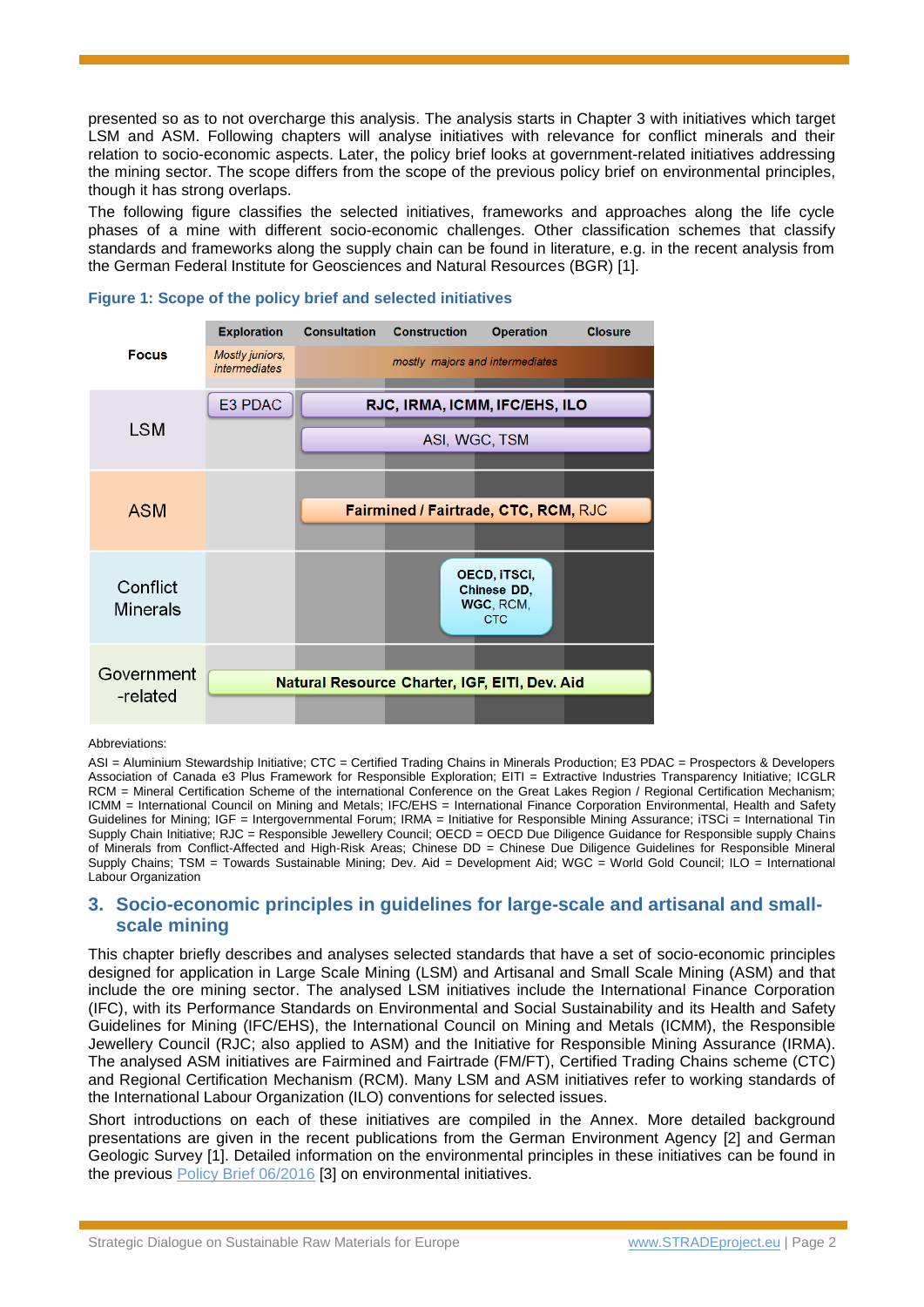presented so as to not overcharge this analysis. The analysis starts in Chapter 3 with initiatives which target LSM and ASM. Following chapters will analyse initiatives with relevance for conflict minerals and their relation to socio-economic aspects. Later, the policy brief looks at government-related initiatives addressing the mining sector. The scope differs from the scope of the previous policy brief on environmental principles, though it has strong overlaps.

The following figure classifies the selected initiatives, frameworks and approaches along the life cycle phases of a mine with different socio-economic challenges. Other classification schemes that classify standards and frameworks along the supply chain can be found in literature, e.g. in the recent analysis from the German Federal Institute for Geosciences and Natural Resources (BGR) [1].



#### **Figure 1: Scope of the policy brief and selected initiatives**

#### Abbreviations:

ASI = Aluminium Stewardship Initiative; CTC = Certified Trading Chains in Minerals Production; E3 PDAC = Prospectors & Developers Association of Canada e3 Plus Framework for Responsible Exploration; EITI = Extractive Industries Transparency Initiative; ICGLR RCM = Mineral Certification Scheme of the international Conference on the Great Lakes Region / Regional Certification Mechanism; ICMM = International Council on Mining and Metals; IFC/EHS = International Finance Corporation Environmental, Health and Safety Guidelines for Mining; IGF = Intergovernmental Forum; IRMA = Initiative for Responsible Mining Assurance; iTSCi = International Tin Supply Chain Initiative; RJC = Responsible Jewellery Council; OECD = OECD Due Diligence Guidance for Responsible supply Chains of Minerals from Conflict-Affected and High-Risk Areas; Chinese DD = Chinese Due Diligence Guidelines for Responsible Mineral Supply Chains; TSM = Towards Sustainable Mining; Dev. Aid = Development Aid; WGC = World Gold Council; ILO = International Labour Organization

#### <span id="page-1-0"></span>**3. Socio-economic principles in guidelines for large-scale and artisanal and smallscale mining**

This chapter briefly describes and analyses selected standards that have a set of socio-economic principles designed for application in Large Scale Mining (LSM) and Artisanal and Small Scale Mining (ASM) and that include the ore mining sector. The analysed LSM initiatives include the International Finance Corporation (IFC), with its Performance Standards on Environmental and Social Sustainability and its Health and Safety Guidelines for Mining (IFC/EHS), the International Council on Mining and Metals (ICMM), the Responsible Jewellery Council (RJC; also applied to ASM) and the Initiative for Responsible Mining Assurance (IRMA). The analysed ASM initiatives are Fairmined and Fairtrade (FM/FT), Certified Trading Chains scheme (CTC) and Regional Certification Mechanism (RCM). Many LSM and ASM initiatives refer to working standards of the International Labour Organization (ILO) conventions for selected issues.

Short introductions on each of these initiatives are compiled in the Annex. More detailed background presentations are given in the recent publications from the German Environment Agency [2] and German Geologic Survey [1]. Detailed information on the environmental principles in these initiatives can be found in the previous [Policy Brief 06/2016](http://www.stradeproject.eu/fileadmin/user_upload/pdf/PolicyBrief_06-2016_Nov2016_FINAL.pdf) [3] on environmental initiatives.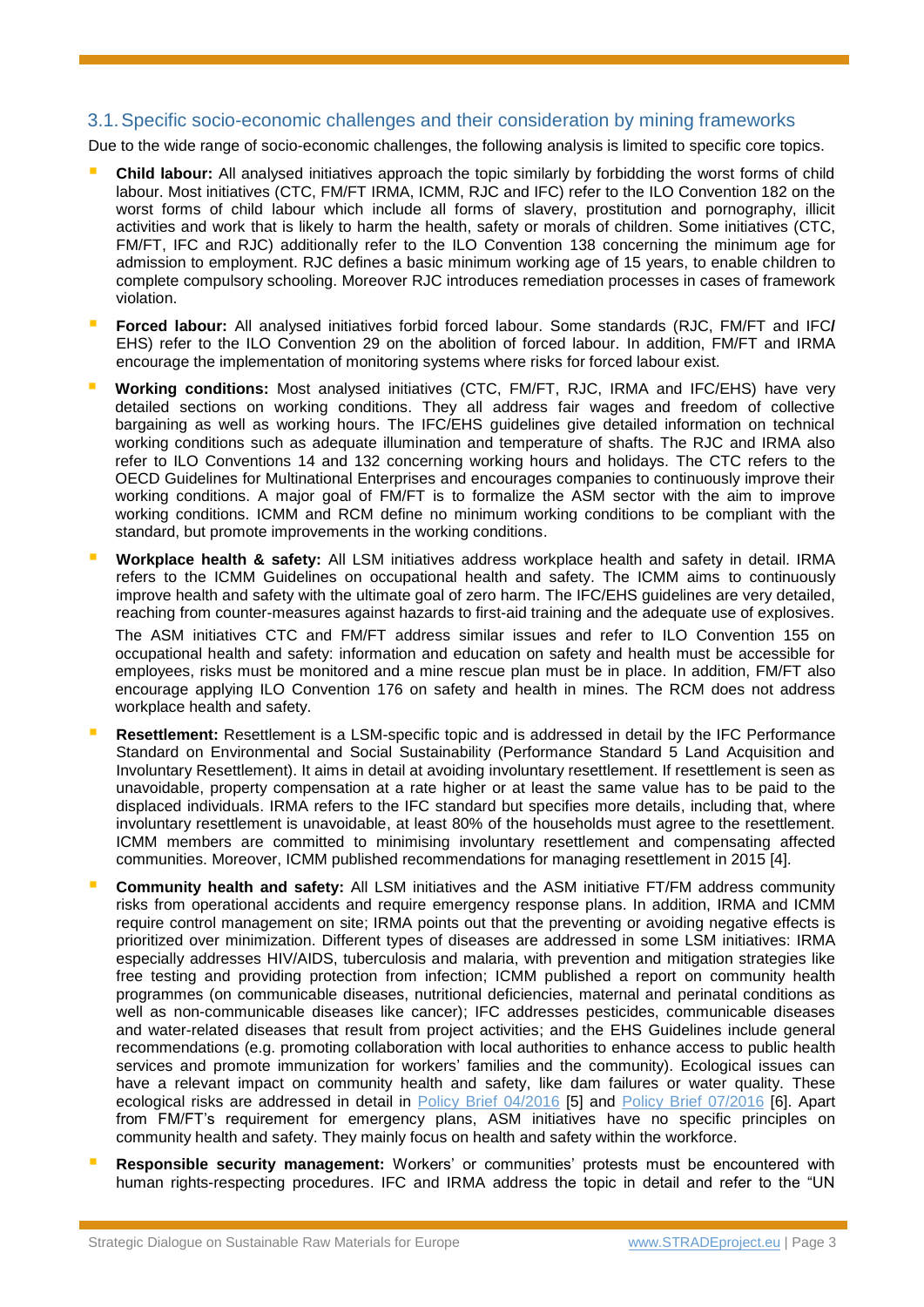#### 3.1.Specific socio-economic challenges and their consideration by mining frameworks

Due to the wide range of socio-economic challenges, the following analysis is limited to specific core topics.

- **Child labour:** All analysed initiatives approach the topic similarly by forbidding the worst forms of child labour. Most initiatives (CTC, FM/FT IRMA, ICMM, RJC and IFC) refer to the ILO Convention 182 on the worst forms of child labour which include all forms of slavery, prostitution and pornography, illicit activities and work that is likely to harm the health, safety or morals of children. Some initiatives (CTC, FM/FT, IFC and RJC) additionally refer to the ILO Convention 138 concerning the minimum age for admission to employment. RJC defines a basic minimum working age of 15 years, to enable children to complete compulsory schooling. Moreover RJC introduces remediation processes in cases of framework violation.
- **Forced labour:** All analysed initiatives forbid forced labour. Some standards (RJC, FM/FT and IFC**/** EHS) refer to the ILO Convention 29 on the abolition of forced labour. In addition, FM/FT and IRMA encourage the implementation of monitoring systems where risks for forced labour exist.
- **Working conditions:** Most analysed initiatives (CTC, FM/FT, RJC, IRMA and IFC/EHS) have very detailed sections on working conditions. They all address fair wages and freedom of collective bargaining as well as working hours. The IFC/EHS guidelines give detailed information on technical working conditions such as adequate illumination and temperature of shafts. The RJC and IRMA also refer to ILO Conventions 14 and 132 concerning working hours and holidays. The CTC refers to the OECD Guidelines for Multinational Enterprises and encourages companies to continuously improve their working conditions. A major goal of FM/FT is to formalize the ASM sector with the aim to improve working conditions. ICMM and RCM define no minimum working conditions to be compliant with the standard, but promote improvements in the working conditions.
- **Workplace health & safety:** All LSM initiatives address workplace health and safety in detail. IRMA refers to the ICMM Guidelines on occupational health and safety. The ICMM aims to continuously improve health and safety with the ultimate goal of zero harm. The IFC/EHS guidelines are very detailed, reaching from counter-measures against hazards to first-aid training and the adequate use of explosives.

The ASM initiatives CTC and FM/FT address similar issues and refer to ILO Convention 155 on occupational health and safety: information and education on safety and health must be accessible for employees, risks must be monitored and a mine rescue plan must be in place. In addition, FM/FT also encourage applying ILO Convention 176 on safety and health in mines. The RCM does not address workplace health and safety.

- **Resettlement:** Resettlement is a LSM-specific topic and is addressed in detail by the IFC Performance Standard on Environmental and Social Sustainability (Performance Standard 5 Land Acquisition and Involuntary Resettlement). It aims in detail at avoiding involuntary resettlement. If resettlement is seen as unavoidable, property compensation at a rate higher or at least the same value has to be paid to the displaced individuals. IRMA refers to the IFC standard but specifies more details, including that, where involuntary resettlement is unavoidable, at least 80% of the households must agree to the resettlement. ICMM members are committed to minimising involuntary resettlement and compensating affected communities. Moreover, ICMM published recommendations for managing resettlement in 2015 [4].
- **Community health and safety:** All LSM initiatives and the ASM initiative FT/FM address community risks from operational accidents and require emergency response plans. In addition, IRMA and ICMM require control management on site; IRMA points out that the preventing or avoiding negative effects is prioritized over minimization. Different types of diseases are addressed in some LSM initiatives: IRMA especially addresses HIV/AIDS, tuberculosis and malaria, with prevention and mitigation strategies like free testing and providing protection from infection; ICMM published a report on community health programmes (on communicable diseases, nutritional deficiencies, maternal and perinatal conditions as well as non-communicable diseases like cancer); IFC addresses pesticides, communicable diseases and water-related diseases that result from project activities; and the EHS Guidelines include general recommendations (e.g. promoting collaboration with local authorities to enhance access to public health services and promote immunization for workers' families and the community). Ecological issues can have a relevant impact on community health and safety, like dam failures or water quality. These ecological risks are addressed in detail in [Policy Brief 04/2016](http://www.stradeproject.eu/fileadmin/user_upload/pdf/PolicyBrief_04-2016_Sep2016_FINAL.pdf) [5] and [Policy Brief 07/2016](http://www.stradeproject.eu/fileadmin/user_upload/pdf/STRADE_PB_07_OEI_Nov.2016.pdf) [6]. Apart from FM/FT's requirement for emergency plans, ASM initiatives have no specific principles on community health and safety. They mainly focus on health and safety within the workforce.
- **Responsible security management:** Workers' or communities' protests must be encountered with human rights-respecting procedures. IFC and IRMA address the topic in detail and refer to the "UN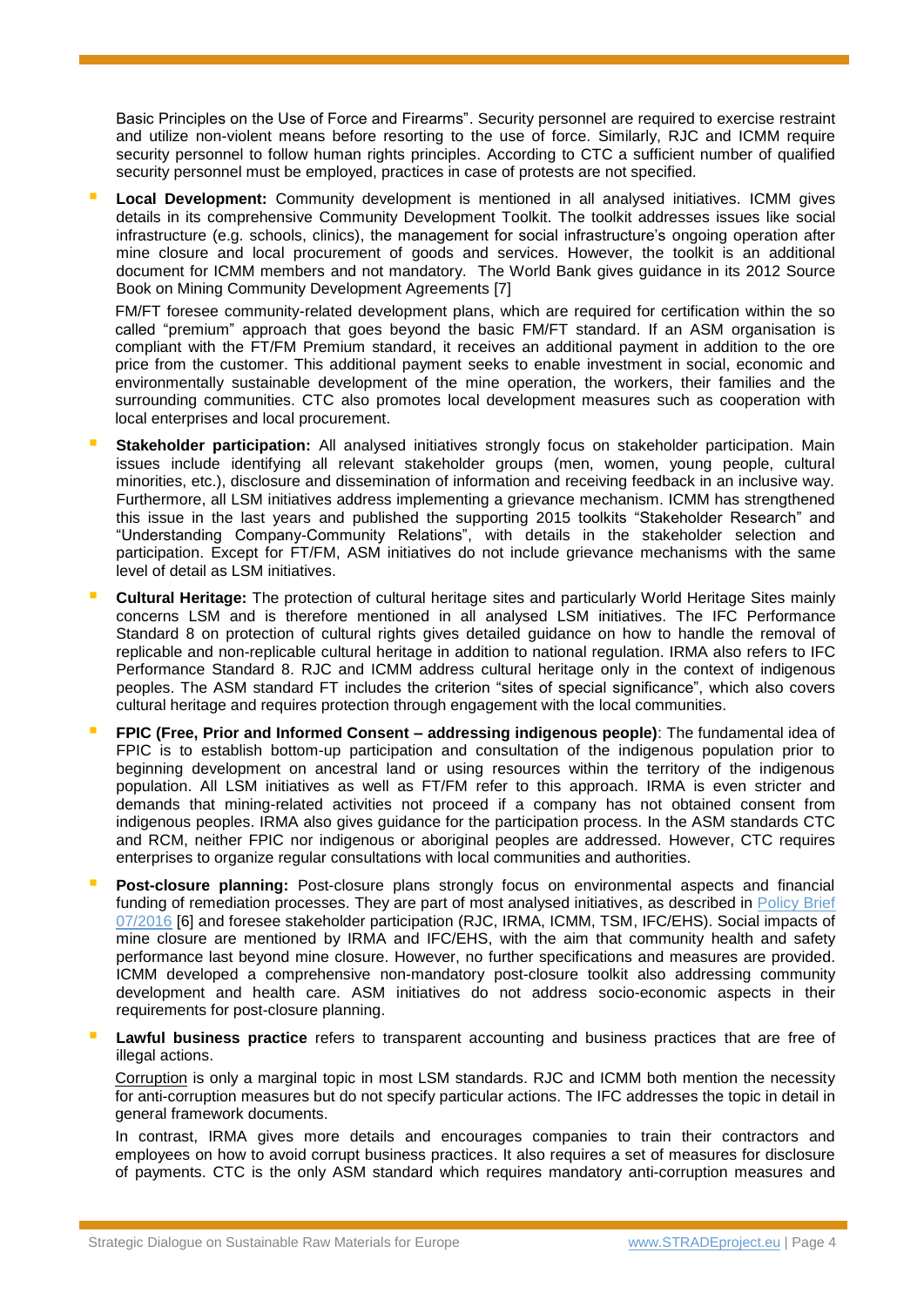Basic Principles on the Use of Force and Firearms". Security personnel are required to exercise restraint and utilize non-violent means before resorting to the use of force. Similarly, RJC and ICMM require security personnel to follow human rights principles. According to CTC a sufficient number of qualified security personnel must be employed, practices in case of protests are not specified.

 **Local Development:** Community development is mentioned in all analysed initiatives. ICMM gives details in its comprehensive Community Development Toolkit. The toolkit addresses issues like social infrastructure (e.g. schools, clinics), the management for social infrastructure's ongoing operation after mine closure and local procurement of goods and services. However, the toolkit is an additional document for ICMM members and not mandatory. The World Bank gives guidance in its 2012 Source Book on Mining Community Development Agreements [7]

FM/FT foresee community-related development plans, which are required for certification within the so called "premium" approach that goes beyond the basic FM/FT standard. If an ASM organisation is compliant with the FT/FM Premium standard, it receives an additional payment in addition to the ore price from the customer. This additional payment seeks to enable investment in social, economic and environmentally sustainable development of the mine operation, the workers, their families and the surrounding communities. CTC also promotes local development measures such as cooperation with local enterprises and local procurement.

- **Stakeholder participation:** All analysed initiatives strongly focus on stakeholder participation. Main issues include identifying all relevant stakeholder groups (men, women, young people, cultural minorities, etc.), disclosure and dissemination of information and receiving feedback in an inclusive way. Furthermore, all LSM initiatives address implementing a grievance mechanism. ICMM has strengthened this issue in the last years and published the supporting 2015 toolkits "Stakeholder Research" and "Understanding Company-Community Relations", with details in the stakeholder selection and participation. Except for FT/FM, ASM initiatives do not include grievance mechanisms with the same level of detail as LSM initiatives.
- **Cultural Heritage:** The protection of cultural heritage sites and particularly World Heritage Sites mainly concerns LSM and is therefore mentioned in all analysed LSM initiatives. The IFC Performance Standard 8 on protection of cultural rights gives detailed guidance on how to handle the removal of replicable and non-replicable cultural heritage in addition to national regulation. IRMA also refers to IFC Performance Standard 8. RJC and ICMM address cultural heritage only in the context of indigenous peoples. The ASM standard FT includes the criterion "sites of special significance", which also covers cultural heritage and requires protection through engagement with the local communities.
- **FPIC (Free, Prior and Informed Consent – addressing indigenous people)**: The fundamental idea of FPIC is to establish bottom-up participation and consultation of the indigenous population prior to beginning development on ancestral land or using resources within the territory of the indigenous population. All LSM initiatives as well as FT/FM refer to this approach. IRMA is even stricter and demands that mining-related activities not proceed if a company has not obtained consent from indigenous peoples. IRMA also gives guidance for the participation process. In the ASM standards CTC and RCM, neither FPIC nor indigenous or aboriginal peoples are addressed. However, CTC requires enterprises to organize regular consultations with local communities and authorities.
- **Post-closure planning:** Post-closure plans strongly focus on environmental aspects and financial funding of remediation processes. They are part of most analysed initiatives, as described in Policy Brief [07/2016](http://www.stradeproject.eu/fileadmin/user_upload/pdf/STRADE_PB_07_OEI_Nov.2016.pdf) [6] and foresee stakeholder participation (RJC, IRMA, ICMM, TSM, IFC/EHS). Social impacts of mine closure are mentioned by IRMA and IFC/EHS, with the aim that community health and safety performance last beyond mine closure. However, no further specifications and measures are provided. ICMM developed a comprehensive non-mandatory post-closure toolkit also addressing community development and health care. ASM initiatives do not address socio-economic aspects in their requirements for post-closure planning.
- **Lawful business practice** refers to transparent accounting and business practices that are free of illegal actions.

Corruption is only a marginal topic in most LSM standards. RJC and ICMM both mention the necessity for anti-corruption measures but do not specify particular actions. The IFC addresses the topic in detail in general framework documents.

In contrast, IRMA gives more details and encourages companies to train their contractors and employees on how to avoid corrupt business practices. It also requires a set of measures for disclosure of payments. CTC is the only ASM standard which requires mandatory anti-corruption measures and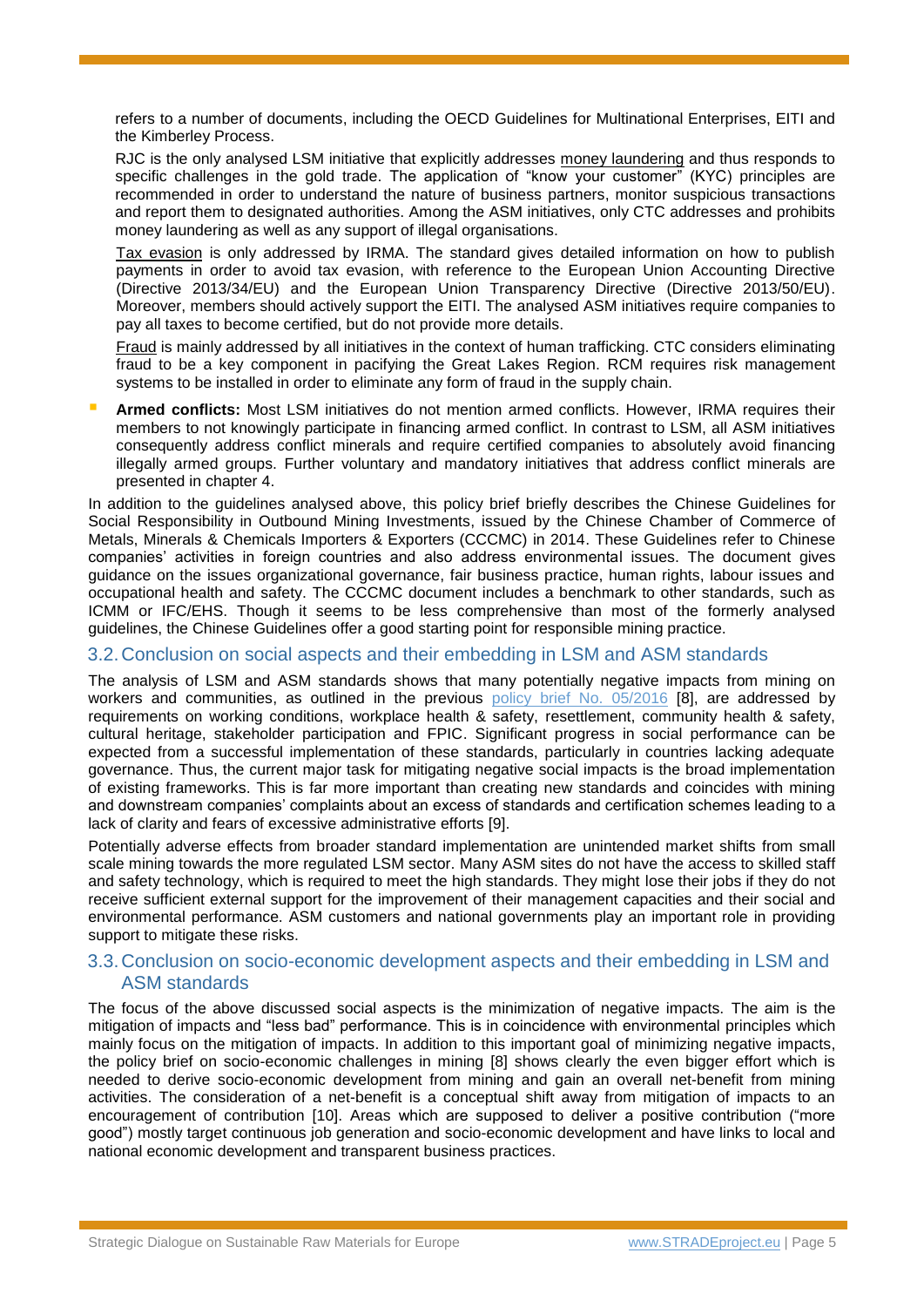refers to a number of documents, including the OECD Guidelines for Multinational Enterprises, EITI and the Kimberley Process.

RJC is the only analysed LSM initiative that explicitly addresses money laundering and thus responds to specific challenges in the gold trade. The application of "know your customer" (KYC) principles are recommended in order to understand the nature of business partners, monitor suspicious transactions and report them to designated authorities. Among the ASM initiatives, only CTC addresses and prohibits money laundering as well as any support of illegal organisations.

Tax evasion is only addressed by IRMA. The standard gives detailed information on how to publish payments in order to avoid tax evasion, with reference to the European Union Accounting Directive (Directive 2013/34/EU) and the European Union Transparency Directive (Directive 2013/50/EU). Moreover, members should actively support the EITI. The analysed ASM initiatives require companies to pay all taxes to become certified, but do not provide more details.

Fraud is mainly addressed by all initiatives in the context of human trafficking. CTC considers eliminating fraud to be a key component in pacifying the Great Lakes Region. RCM requires risk management systems to be installed in order to eliminate any form of fraud in the supply chain.

 **Armed conflicts:** Most LSM initiatives do not mention armed conflicts. However, IRMA requires their members to not knowingly participate in financing armed conflict. In contrast to LSM, all ASM initiatives consequently address conflict minerals and require certified companies to absolutely avoid financing illegally armed groups. Further voluntary and mandatory initiatives that address conflict minerals are presented in chapter [4.](#page-5-0)

In addition to the guidelines analysed above, this policy brief briefly describes the Chinese Guidelines for Social Responsibility in Outbound Mining Investments, issued by the Chinese Chamber of Commerce of Metals, Minerals & Chemicals Importers & Exporters (CCCMC) in 2014. These Guidelines refer to Chinese companies' activities in foreign countries and also address environmental issues. The document gives guidance on the issues organizational governance, fair business practice, human rights, labour issues and occupational health and safety. The CCCMC document includes a benchmark to other standards, such as ICMM or IFC/EHS. Though it seems to be less comprehensive than most of the formerly analysed guidelines, the Chinese Guidelines offer a good starting point for responsible mining practice.

#### 3.2.Conclusion on social aspects and their embedding in LSM and ASM standards

The analysis of LSM and ASM standards shows that many potentially negative impacts from mining on workers and communities, as outlined in the previous [policy brief No. 05/2016](http://www.stradeproject.eu/fileadmin/user_upload/pdf/PolicyBrief_05-2016_Oct2016_FINAL.pdf) [8], are addressed by requirements on working conditions, workplace health & safety, resettlement, community health & safety, cultural heritage, stakeholder participation and FPIC. Significant progress in social performance can be expected from a successful implementation of these standards, particularly in countries lacking adequate governance. Thus, the current major task for mitigating negative social impacts is the broad implementation of existing frameworks. This is far more important than creating new standards and coincides with mining and downstream companies' complaints about an excess of standards and certification schemes leading to a lack of clarity and fears of excessive administrative efforts [9].

Potentially adverse effects from broader standard implementation are unintended market shifts from small scale mining towards the more regulated LSM sector. Many ASM sites do not have the access to skilled staff and safety technology, which is required to meet the high standards. They might lose their jobs if they do not receive sufficient external support for the improvement of their management capacities and their social and environmental performance. ASM customers and national governments play an important role in providing support to mitigate these risks.

#### 3.3.Conclusion on socio-economic development aspects and their embedding in LSM and ASM standards

The focus of the above discussed social aspects is the minimization of negative impacts. The aim is the mitigation of impacts and "less bad" performance. This is in coincidence with environmental principles which mainly focus on the mitigation of impacts. In addition to this important goal of minimizing negative impacts, the policy brief on socio-economic challenges in mining [8] shows clearly the even bigger effort which is needed to derive socio-economic development from mining and gain an overall net-benefit from mining activities. The consideration of a net-benefit is a conceptual shift away from mitigation of impacts to an encouragement of contribution [10]. Areas which are supposed to deliver a positive contribution ("more good") mostly target continuous job generation and socio-economic development and have links to local and national economic development and transparent business practices.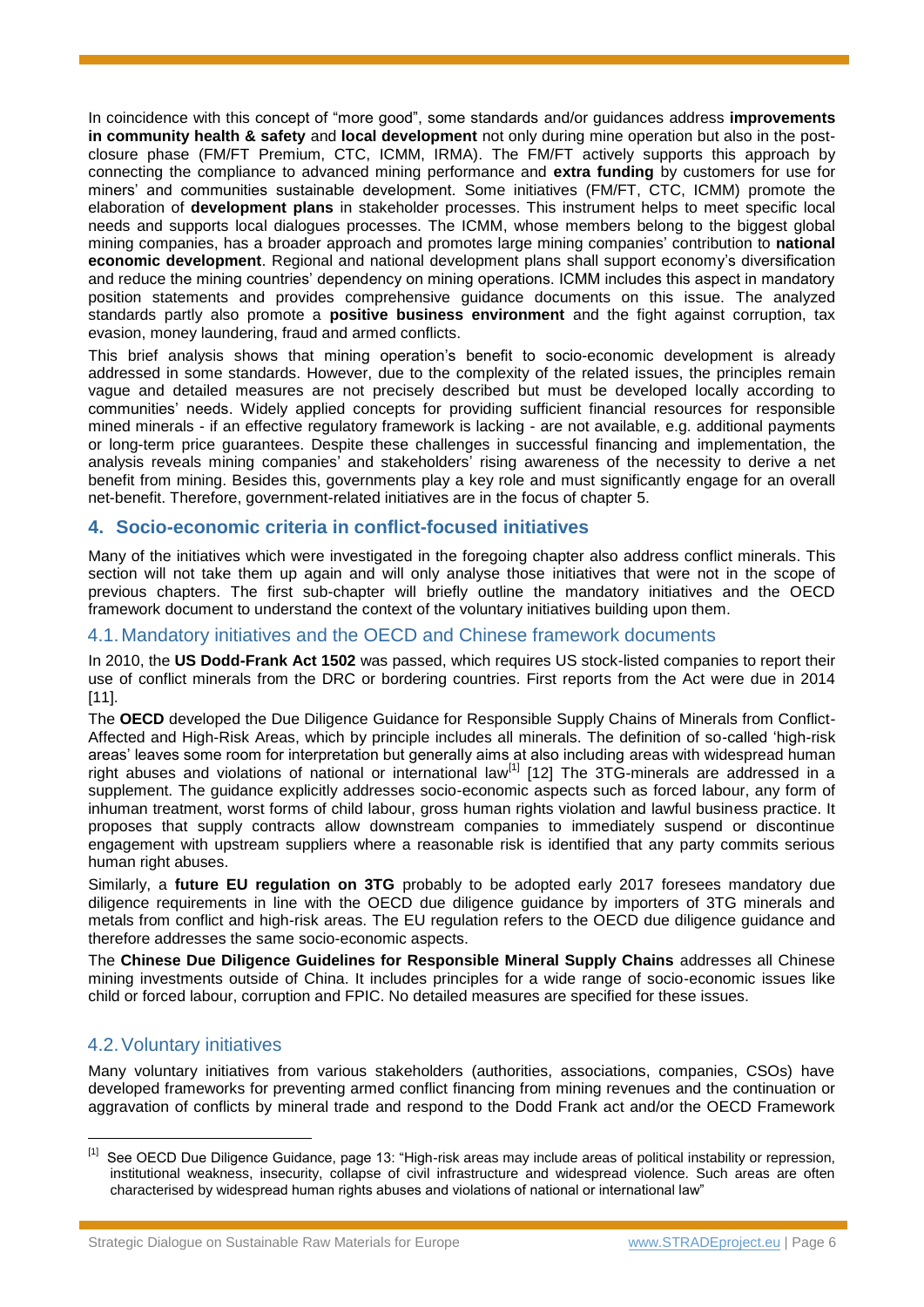In coincidence with this concept of "more good", some standards and/or guidances address **improvements in community health & safety** and **local development** not only during mine operation but also in the postclosure phase (FM/FT Premium, CTC, ICMM, IRMA). The FM/FT actively supports this approach by connecting the compliance to advanced mining performance and **extra funding** by customers for use for miners' and communities sustainable development. Some initiatives (FM/FT, CTC, ICMM) promote the elaboration of **development plans** in stakeholder processes. This instrument helps to meet specific local needs and supports local dialogues processes. The ICMM, whose members belong to the biggest global mining companies, has a broader approach and promotes large mining companies' contribution to **national economic development**. Regional and national development plans shall support economy's diversification and reduce the mining countries' dependency on mining operations. ICMM includes this aspect in mandatory position statements and provides comprehensive guidance documents on this issue. The analyzed standards partly also promote a **positive business environment** and the fight against corruption, tax evasion, money laundering, fraud and armed conflicts.

This brief analysis shows that mining operation's benefit to socio-economic development is already addressed in some standards. However, due to the complexity of the related issues, the principles remain vague and detailed measures are not precisely described but must be developed locally according to communities' needs. Widely applied concepts for providing sufficient financial resources for responsible mined minerals - if an effective regulatory framework is lacking - are not available, e.g. additional payments or long-term price guarantees. Despite these challenges in successful financing and implementation, the analysis reveals mining companies' and stakeholders' rising awareness of the necessity to derive a net benefit from mining. Besides this, governments play a key role and must significantly engage for an overall net-benefit. Therefore, government-related initiatives are in the focus of chapter [5.](#page-6-0)

#### <span id="page-5-0"></span>**4. Socio-economic criteria in conflict-focused initiatives**

Many of the initiatives which were investigated in the foregoing chapter also address conflict minerals. This section will not take them up again and will only analyse those initiatives that were not in the scope of previous chapters. The first sub-chapter will briefly outline the mandatory initiatives and the OECD framework document to understand the context of the voluntary initiatives building upon them.

#### 4.1.Mandatory initiatives and the OECD and Chinese framework documents

In 2010, the **US Dodd-Frank Act 1502** was passed, which requires US stock-listed companies to report their use of conflict minerals from the DRC or bordering countries. First reports from the Act were due in 2014 [11].

The **OECD** developed the Due Diligence Guidance for Responsible Supply Chains of Minerals from Conflict-Affected and High-Risk Areas, which by principle includes all minerals. The definition of so-called 'high-risk areas' leaves some room for interpretation but generally aims at also including areas with widespread human right abuses and violations of national or international law<sup>[1]</sup> [12] The 3TG-minerals are addressed in a supplement. The guidance explicitly addresses socio-economic aspects such as forced labour, any form of inhuman treatment, worst forms of child labour, gross human rights violation and lawful business practice. It proposes that supply contracts allow downstream companies to immediately suspend or discontinue engagement with upstream suppliers where a reasonable risk is identified that any party commits serious human right abuses.

Similarly, a **future EU regulation on 3TG** probably to be adopted early 2017 foresees mandatory due diligence requirements in line with the OECD due diligence guidance by importers of 3TG minerals and metals from conflict and high-risk areas. The EU regulation refers to the OECD due diligence guidance and therefore addresses the same socio-economic aspects.

The **Chinese Due Diligence Guidelines for Responsible Mineral Supply Chains** addresses all Chinese mining investments outside of China. It includes principles for a wide range of socio-economic issues like child or forced labour, corruption and FPIC. No detailed measures are specified for these issues.

#### 4.2.Voluntary initiatives

l

Many voluntary initiatives from various stakeholders (authorities, associations, companies, CSOs) have developed frameworks for preventing armed conflict financing from mining revenues and the continuation or aggravation of conflicts by mineral trade and respond to the Dodd Frank act and/or the OECD Framework

<sup>&</sup>lt;sup>[1]</sup> See OECD Due Diligence Guidance, page 13: "High-risk areas may include areas of political instability or repression, institutional weakness, insecurity, collapse of civil infrastructure and widespread violence. Such areas are often characterised by widespread human rights abuses and violations of national or international law"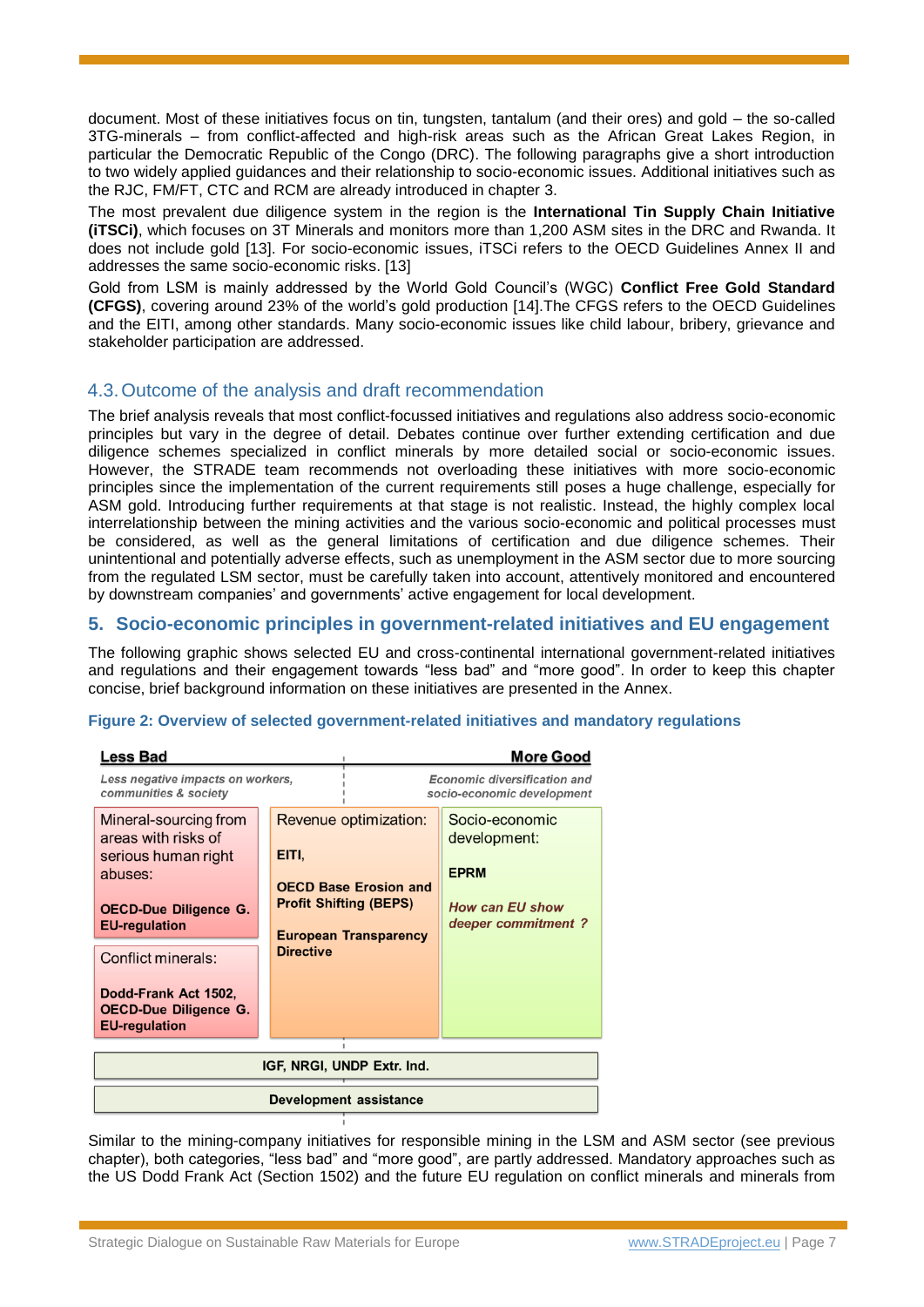document. Most of these initiatives focus on tin, tungsten, tantalum (and their ores) and gold – the so-called 3TG-minerals – from conflict-affected and high-risk areas such as the African Great Lakes Region, in particular the Democratic Republic of the Congo (DRC). The following paragraphs give a short introduction to two widely applied guidances and their relationship to socio-economic issues. Additional initiatives such as the RJC, FM/FT, CTC and RCM are already introduced in chapter [3.](#page-1-0)

The most prevalent due diligence system in the region is the **International Tin Supply Chain Initiative (iTSCi)**, which focuses on 3T Minerals and monitors more than 1,200 ASM sites in the DRC and Rwanda. It does not include gold [13]. For socio-economic issues, iTSCi refers to the OECD Guidelines Annex II and addresses the same socio-economic risks. [13]

Gold from LSM is mainly addressed by the World Gold Council's (WGC) **Conflict Free Gold Standard (CFGS)**, covering around 23% of the world's gold production [14].The CFGS refers to the OECD Guidelines and the EITI, among other standards. Many socio-economic issues like child labour, bribery, grievance and stakeholder participation are addressed.

#### <span id="page-6-1"></span>4.3.Outcome of the analysis and draft recommendation

The brief analysis reveals that most conflict-focussed initiatives and regulations also address socio-economic principles but vary in the degree of detail. Debates continue over further extending certification and due diligence schemes specialized in conflict minerals by more detailed social or socio-economic issues. However, the STRADE team recommends not overloading these initiatives with more socio-economic principles since the implementation of the current requirements still poses a huge challenge, especially for ASM gold. Introducing further requirements at that stage is not realistic. Instead, the highly complex local interrelationship between the mining activities and the various socio-economic and political processes must be considered, as well as the general limitations of certification and due diligence schemes. Their unintentional and potentially adverse effects, such as unemployment in the ASM sector due to more sourcing from the regulated LSM sector, must be carefully taken into account, attentively monitored and encountered by downstream companies' and governments' active engagement for local development.

#### <span id="page-6-0"></span>**5. Socio-economic principles in government-related initiatives and EU engagement**

The following graphic shows selected EU and cross-continental international government-related initiatives and regulations and their engagement towards "less bad" and "more good". In order to keep this chapter concise, brief background information on these initiatives are presented in the Annex.

#### **Figure 2: Overview of selected government-related initiatives and mandatory regulations**

| <b>Less Bad</b>                                                                                                                                                                                                                              |                           | <b>More Good</b>                                                                                                       |                                                                                               |  |
|----------------------------------------------------------------------------------------------------------------------------------------------------------------------------------------------------------------------------------------------|---------------------------|------------------------------------------------------------------------------------------------------------------------|-----------------------------------------------------------------------------------------------|--|
| Less negative impacts on workers,<br>communities & society                                                                                                                                                                                   |                           | Economic diversification and<br>socio-economic development                                                             |                                                                                               |  |
| Mineral-sourcing from<br>areas with risks of<br>serious human right<br>abuses:<br><b>OECD-Due Diligence G.</b><br><b>EU-regulation</b><br>Conflict minerals:<br>Dodd-Frank Act 1502,<br><b>OECD-Due Diligence G.</b><br><b>EU-regulation</b> | EITI,<br><b>Directive</b> | Revenue optimization:<br><b>OECD Base Erosion and</b><br><b>Profit Shifting (BEPS)</b><br><b>European Transparency</b> | Socio-economic<br>development:<br><b>EPRM</b><br><b>How can EU show</b><br>deeper commitment? |  |
| IGF, NRGI, UNDP Extr. Ind.                                                                                                                                                                                                                   |                           |                                                                                                                        |                                                                                               |  |
| Development assistance                                                                                                                                                                                                                       |                           |                                                                                                                        |                                                                                               |  |

Similar to the mining-company initiatives for responsible mining in the LSM and ASM sector (see previous chapter), both categories, "less bad" and "more good", are partly addressed. Mandatory approaches such as the US Dodd Frank Act (Section 1502) and the future EU regulation on conflict minerals and minerals from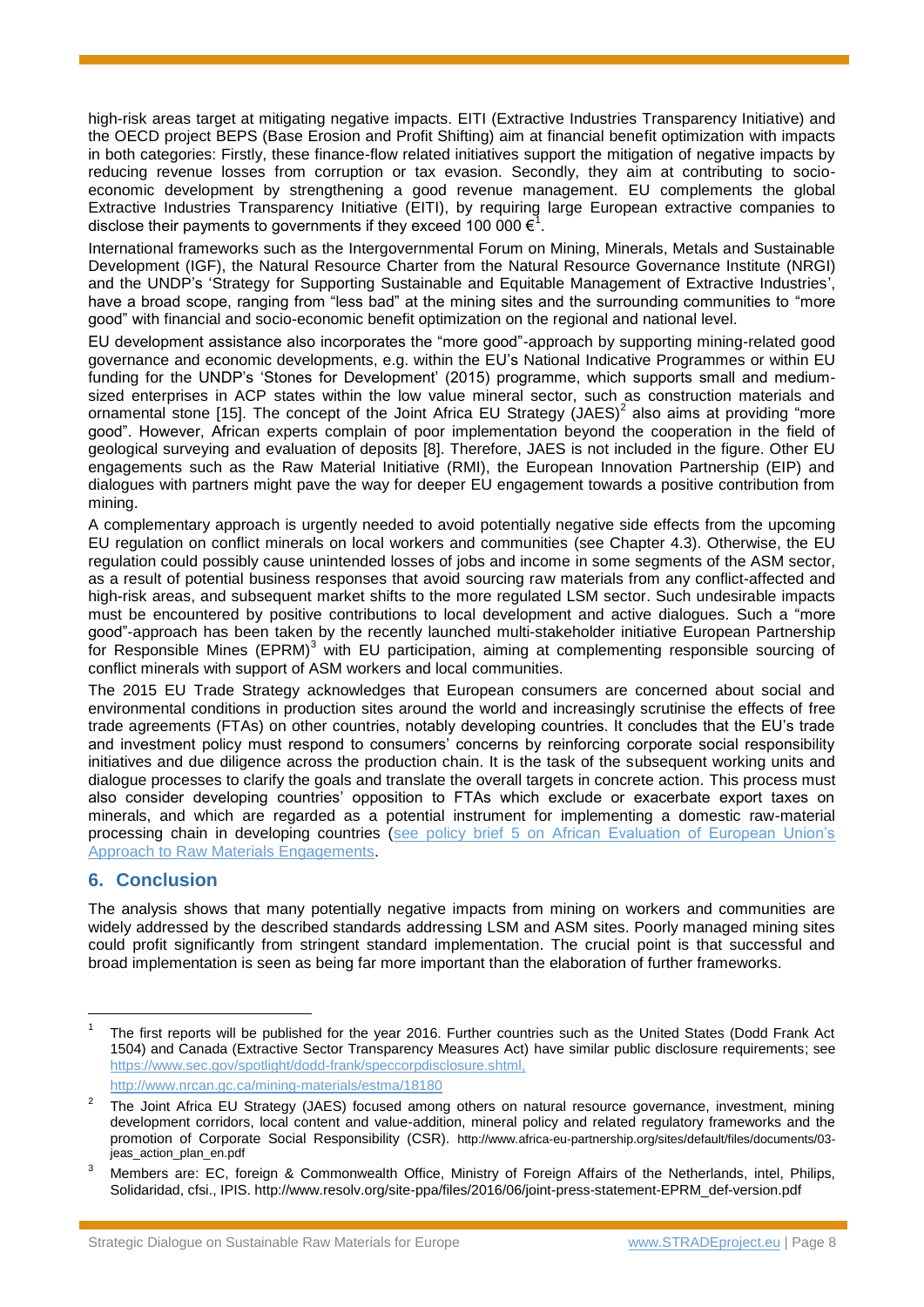high-risk areas target at mitigating negative impacts. EITI (Extractive Industries Transparency Initiative) and the OECD project BEPS (Base Erosion and Profit Shifting) aim at financial benefit optimization with impacts in both categories: Firstly, these finance-flow related initiatives support the mitigation of negative impacts by reducing revenue losses from corruption or tax evasion. Secondly, they aim at contributing to socioeconomic development by strengthening a good revenue management. EU complements the global Extractive Industries Transparency Initiative (EITI), by requiring large European extractive companies to disclose their payments to governments if they exceed 100 000  $\epsilon^1$ .

International frameworks such as the Intergovernmental Forum on Mining, Minerals, Metals and Sustainable Development (IGF), the Natural Resource Charter from the Natural Resource Governance Institute (NRGI) and the UNDP's 'Strategy for Supporting Sustainable and Equitable Management of Extractive Industries', have a broad scope, ranging from "less bad" at the mining sites and the surrounding communities to "more good" with financial and socio-economic benefit optimization on the regional and national level.

EU development assistance also incorporates the "more good"-approach by supporting mining-related good governance and economic developments, e.g. within the EU's National Indicative Programmes or within EU funding for the UNDP's 'Stones for Development' (2015) programme, which supports small and mediumsized enterprises in ACP states within the low value mineral sector, such as construction materials and ornamental stone [15]. The concept of the Joint Africa EU Strategy (JAES)<sup>2</sup> also aims at providing "more good". However, African experts complain of poor implementation beyond the cooperation in the field of geological surveying and evaluation of deposits [8]. Therefore, JAES is not included in the figure. Other EU engagements such as the Raw Material Initiative (RMI), the European Innovation Partnership (EIP) and dialogues with partners might pave the way for deeper EU engagement towards a positive contribution from mining.

A complementary approach is urgently needed to avoid potentially negative side effects from the upcoming EU regulation on conflict minerals on local workers and communities (see Chapter [4.3\)](#page-6-1). Otherwise, the EU regulation could possibly cause unintended losses of jobs and income in some segments of the ASM sector, as a result of potential business responses that avoid sourcing raw materials from any conflict-affected and high-risk areas, and subsequent market shifts to the more regulated LSM sector. Such undesirable impacts must be encountered by positive contributions to local development and active dialogues. Such a "more good"-approach has been taken by the recently launched multi-stakeholder initiative European Partnership for Responsible Mines (EPRM)<sup>3</sup> with EU participation, aiming at complementing responsible sourcing of conflict minerals with support of ASM workers and local communities.

The 2015 EU Trade Strategy acknowledges that European consumers are concerned about social and environmental conditions in production sites around the world and increasingly scrutinise the effects of free trade agreements (FTAs) on other countries, notably developing countries. It concludes that the EU's trade and investment policy must respond to consumers' concerns by reinforcing corporate social responsibility initiatives and due diligence across the production chain. It is the task of the subsequent working units and dialogue processes to clarify the goals and translate the overall targets in concrete action. This process must also consider developing countries' opposition to FTAs which exclude or exacerbate export taxes on minerals, and which are regarded as a potential instrument for implementing a domestic raw-material processing chain in developing countries [\(see policy brief 5 on African Evaluation of European Union's](http://www.stradeproject.eu/fileadmin/user_upload/pdf/PolicyBrief_05-2016_Oct2016_FINAL.pdf)  [Approach to Raw Materials Engagements.](http://www.stradeproject.eu/fileadmin/user_upload/pdf/PolicyBrief_05-2016_Oct2016_FINAL.pdf)

### **6. Conclusion**

l

The analysis shows that many potentially negative impacts from mining on workers and communities are widely addressed by the described standards addressing LSM and ASM sites. Poorly managed mining sites could profit significantly from stringent standard implementation. The crucial point is that successful and broad implementation is seen as being far more important than the elaboration of further frameworks.

<sup>1</sup> The first reports will be published for the year 2016. Further countries such as the United States (Dodd Frank Act 1504) and Canada (Extractive Sector Transparency Measures Act) have similar public disclosure requirements; see [https://www.sec.gov/spotlight/dodd-frank/speccorpdisclosure.shtml,](https://www.sec.gov/spotlight/dodd-frank/speccorpdisclosure.shtml)

<http://www.nrcan.gc.ca/mining-materials/estma/18180>

<sup>2</sup> The Joint Africa EU Strategy (JAES) focused among others on natural resource governance, investment, mining development corridors, local content and value-addition, mineral policy and related regulatory frameworks and the promotion of Corporate Social Responsibility (CSR). http://www.africa-eu-partnership.org/sites/default/files/documents/03 jeas\_action\_plan\_en.pdf

<sup>&</sup>lt;sup>3</sup> Members are: EC, foreign & Commonwealth Office, Ministry of Foreign Affairs of the Netherlands, intel, Philips, Solidaridad, cfsi., IPIS. http://www.resolv.org/site-ppa/files/2016/06/joint-press-statement-EPRM\_def-version.pdf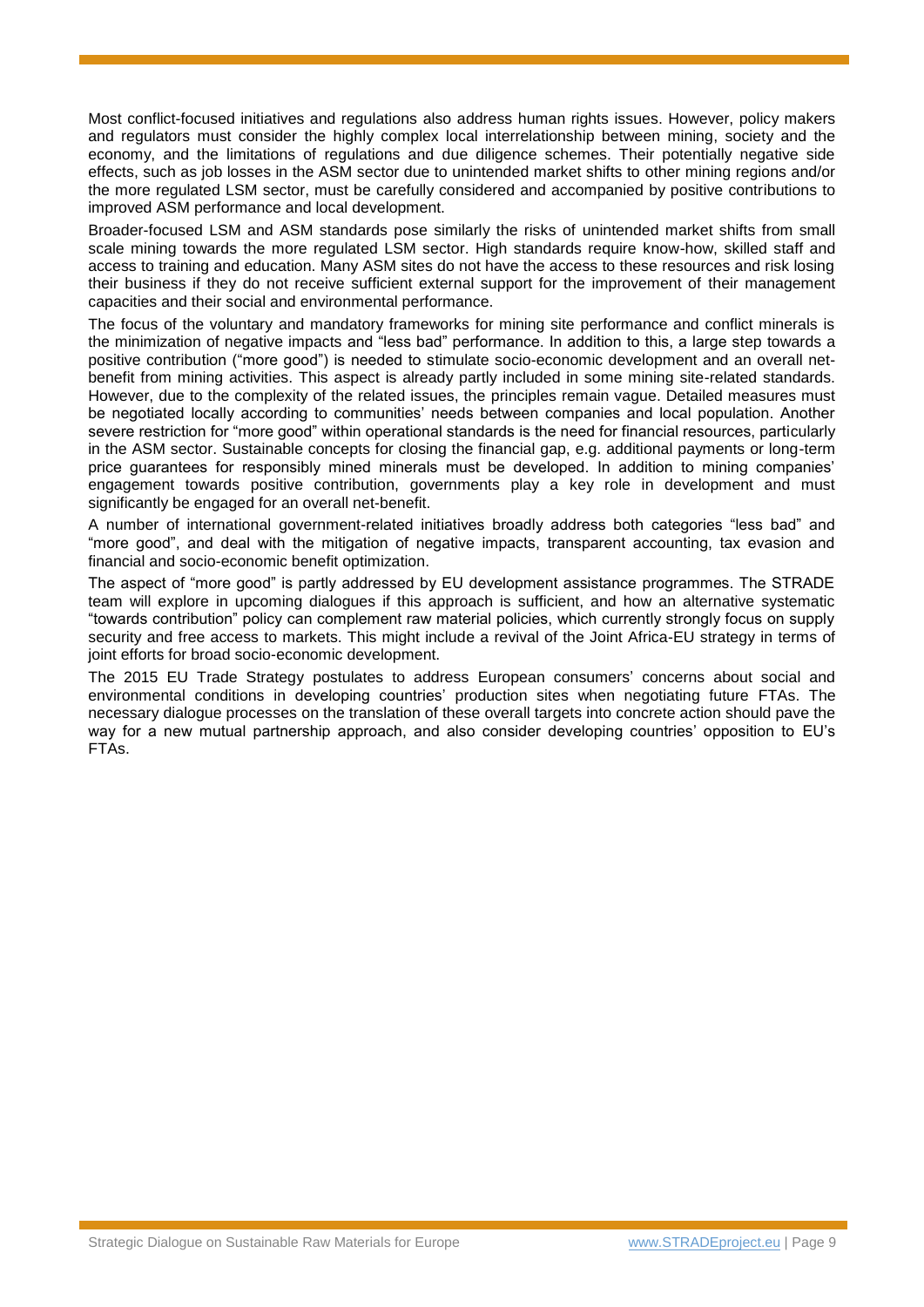Most conflict-focused initiatives and regulations also address human rights issues. However, policy makers and regulators must consider the highly complex local interrelationship between mining, society and the economy, and the limitations of regulations and due diligence schemes. Their potentially negative side effects, such as job losses in the ASM sector due to unintended market shifts to other mining regions and/or the more regulated LSM sector, must be carefully considered and accompanied by positive contributions to improved ASM performance and local development.

Broader-focused LSM and ASM standards pose similarly the risks of unintended market shifts from small scale mining towards the more regulated LSM sector. High standards require know-how, skilled staff and access to training and education. Many ASM sites do not have the access to these resources and risk losing their business if they do not receive sufficient external support for the improvement of their management capacities and their social and environmental performance.

The focus of the voluntary and mandatory frameworks for mining site performance and conflict minerals is the minimization of negative impacts and "less bad" performance. In addition to this, a large step towards a positive contribution ("more good") is needed to stimulate socio-economic development and an overall netbenefit from mining activities. This aspect is already partly included in some mining site-related standards. However, due to the complexity of the related issues, the principles remain vague. Detailed measures must be negotiated locally according to communities' needs between companies and local population. Another severe restriction for "more good" within operational standards is the need for financial resources, particularly in the ASM sector. Sustainable concepts for closing the financial gap, e.g. additional payments or long-term price guarantees for responsibly mined minerals must be developed. In addition to mining companies' engagement towards positive contribution, governments play a key role in development and must significantly be engaged for an overall net-benefit.

A number of international government-related initiatives broadly address both categories "less bad" and "more good", and deal with the mitigation of negative impacts, transparent accounting, tax evasion and financial and socio-economic benefit optimization.

The aspect of "more good" is partly addressed by EU development assistance programmes. The STRADE team will explore in upcoming dialogues if this approach is sufficient, and how an alternative systematic "towards contribution" policy can complement raw material policies, which currently strongly focus on supply security and free access to markets. This might include a revival of the Joint Africa-EU strategy in terms of joint efforts for broad socio-economic development.

The 2015 EU Trade Strategy postulates to address European consumers' concerns about social and environmental conditions in developing countries' production sites when negotiating future FTAs. The necessary dialogue processes on the translation of these overall targets into concrete action should pave the way for a new mutual partnership approach, and also consider developing countries' opposition to EU's FTAs.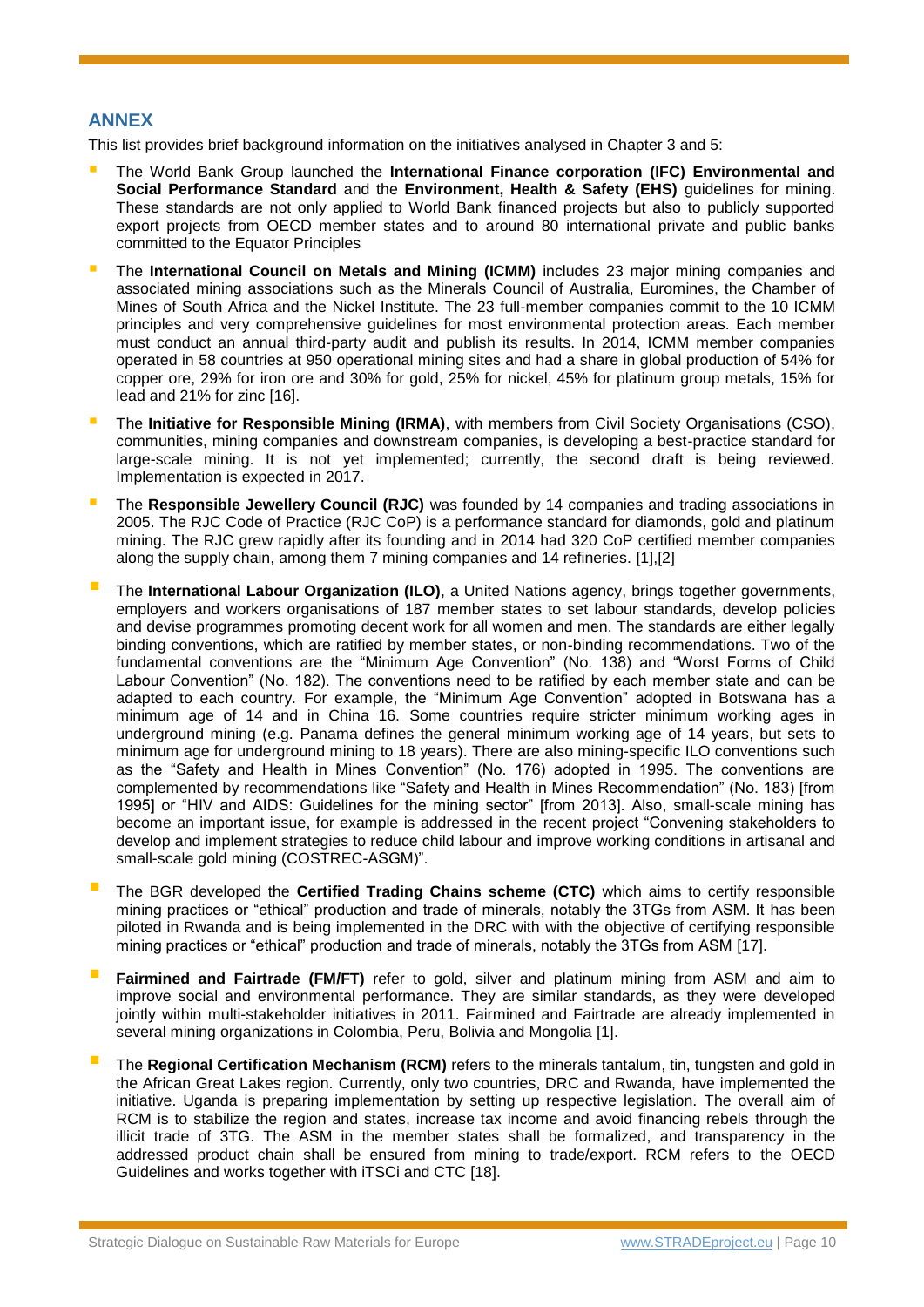#### **ANNEX**

This list provides brief background information on the initiatives analysed in Chapter [3](#page-1-0) and 5:

- The World Bank Group launched the **International Finance corporation (IFC) Environmental and Social Performance Standard** and the **Environment, Health & Safety (EHS)** guidelines for mining. These standards are not only applied to World Bank financed projects but also to publicly supported export projects from OECD member states and to around 80 international private and public banks committed to the Equator Principles
- The **International Council on Metals and Mining (ICMM)** includes 23 major mining companies and associated mining associations such as the Minerals Council of Australia, Euromines, the Chamber of Mines of South Africa and the Nickel Institute. The 23 full-member companies commit to the 10 ICMM principles and very comprehensive guidelines for most environmental protection areas. Each member must conduct an annual third-party audit and publish its results. In 2014, ICMM member companies operated in 58 countries at 950 operational mining sites and had a share in global production of 54% for copper ore, 29% for iron ore and 30% for gold, 25% for nickel, 45% for platinum group metals, 15% for lead and 21% for zinc [16].
- The **Initiative for Responsible Mining (IRMA)**, with members from Civil Society Organisations (CSO), communities, mining companies and downstream companies, is developing a best-practice standard for large-scale mining. It is not yet implemented; currently, the second draft is being reviewed. Implementation is expected in 2017.
- The **Responsible Jewellery Council (RJC)** was founded by 14 companies and trading associations in 2005. The RJC Code of Practice (RJC CoP) is a performance standard for diamonds, gold and platinum mining. The RJC grew rapidly after its founding and in 2014 had 320 CoP certified member companies along the supply chain, among them 7 mining companies and 14 refineries. [1],[2]
- The **International Labour Organization (ILO)**, a United Nations agency, brings together governments, employers and workers organisations of 187 member states to set labour standards, develop policies and devise programmes promoting decent work for all women and men. The standards are either legally binding conventions, which are ratified by member states, or non-binding recommendations. Two of the fundamental conventions are the "Minimum Age Convention" (No. 138) and "Worst Forms of Child Labour Convention" (No. 182). The conventions need to be ratified by each member state and can be adapted to each country. For example, the "Minimum Age Convention" adopted in Botswana has a minimum age of 14 and in China 16. Some countries require stricter minimum working ages in underground mining (e.g. Panama defines the general minimum working age of 14 years, but sets to minimum age for underground mining to 18 years). There are also mining-specific ILO conventions such as the "Safety and Health in Mines Convention" (No. 176) adopted in 1995. The conventions are complemented by recommendations like "Safety and Health in Mines Recommendation" (No. 183) [from 1995] or "HIV and AIDS: Guidelines for the mining sector" [from 2013]. Also, small-scale mining has become an important issue, for example is addressed in the recent project "Convening stakeholders to develop and implement strategies to reduce child labour and improve working conditions in artisanal and small-scale gold mining (COSTREC-ASGM)".
- The BGR developed the **Certified Trading Chains scheme (CTC)** which aims to certify responsible mining practices or "ethical" production and trade of minerals, notably the 3TGs from ASM. It has been piloted in Rwanda and is being implemented in the DRC with with the objective of certifying responsible mining practices or "ethical" production and trade of minerals, notably the 3TGs from ASM [17].
- **Fairmined and Fairtrade (FM/FT)** refer to gold, silver and platinum mining from ASM and aim to improve social and environmental performance. They are similar standards, as they were developed jointly within multi-stakeholder initiatives in 2011. Fairmined and Fairtrade are already implemented in several mining organizations in Colombia, Peru, Bolivia and Mongolia [1].
- The **Regional Certification Mechanism (RCM)** refers to the minerals tantalum, tin, tungsten and gold in the African Great Lakes region. Currently, only two countries, DRC and Rwanda, have implemented the initiative. Uganda is preparing implementation by setting up respective legislation. The overall aim of RCM is to stabilize the region and states, increase tax income and avoid financing rebels through the illicit trade of 3TG. The ASM in the member states shall be formalized, and transparency in the addressed product chain shall be ensured from mining to trade/export. RCM refers to the OECD Guidelines and works together with iTSCi and CTC [18].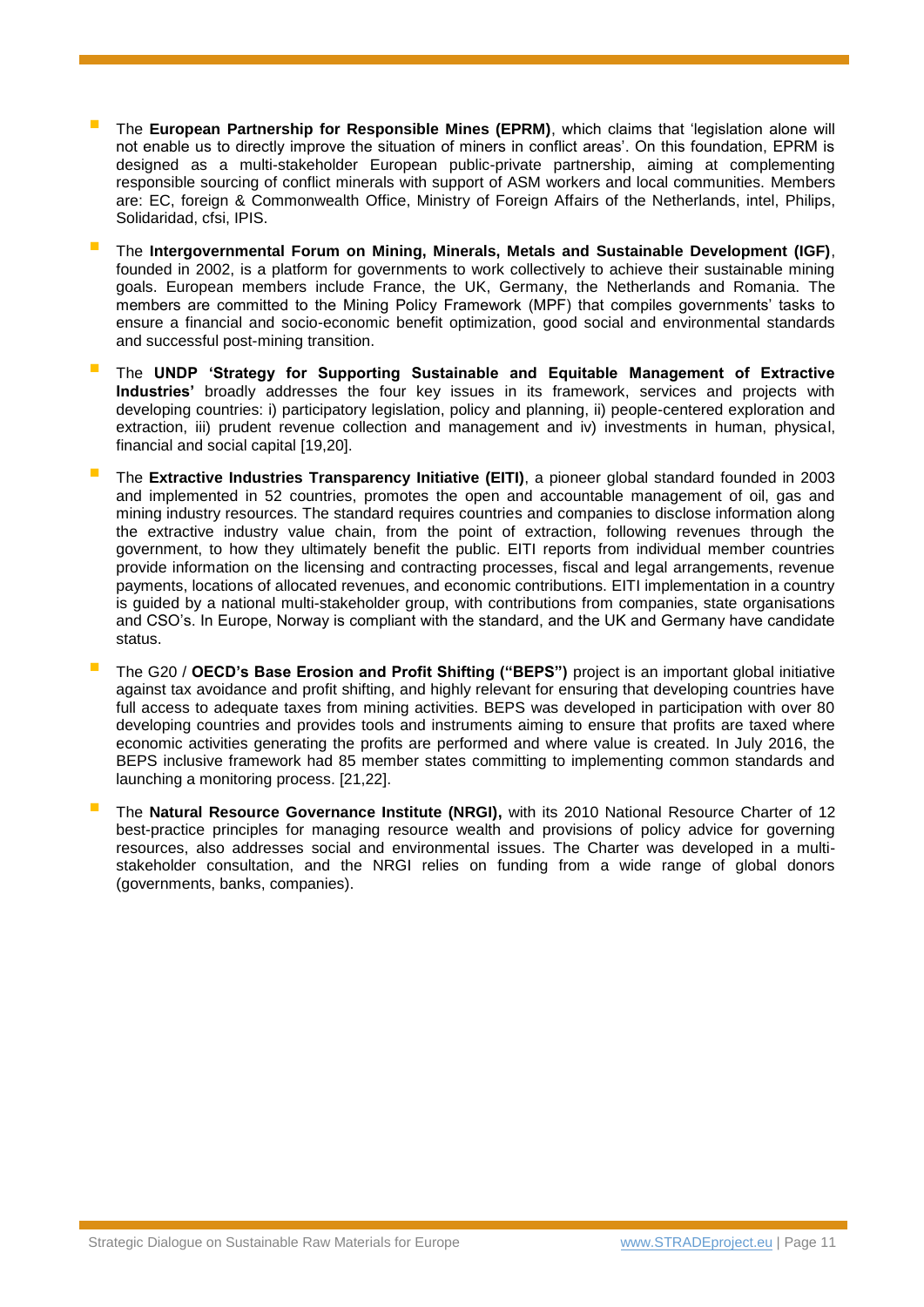- The **European Partnership for Responsible Mines (EPRM)**, which claims that 'legislation alone will not enable us to directly improve the situation of miners in conflict areas'. On this foundation, EPRM is designed as a multi-stakeholder European public-private partnership, aiming at complementing responsible sourcing of conflict minerals with support of ASM workers and local communities. Members are: EC, foreign & Commonwealth Office, Ministry of Foreign Affairs of the Netherlands, intel, Philips, Solidaridad, cfsi, IPIS.
- The **Intergovernmental Forum on Mining, Minerals, Metals and Sustainable Development (IGF)**, founded in 2002, is a platform for governments to work collectively to achieve their sustainable mining goals. European members include France, the UK, Germany, the Netherlands and Romania. The members are committed to the Mining Policy Framework (MPF) that compiles governments' tasks to ensure a financial and socio-economic benefit optimization, good social and environmental standards and successful post-mining transition.
- The **UNDP 'Strategy for Supporting Sustainable and Equitable Management of Extractive Industries'** broadly addresses the four key issues in its framework, services and projects with developing countries: i) participatory legislation, policy and planning, ii) people-centered exploration and extraction, iii) prudent revenue collection and management and iv) investments in human, physical, financial and social capital [19,20].
- The **Extractive Industries Transparency Initiative (EITI)**, a pioneer global standard founded in 2003 and implemented in 52 countries, promotes the open and accountable management of oil, gas and mining industry resources. The standard requires countries and companies to disclose information along the extractive industry value chain, from the point of extraction, following revenues through the government, to how they ultimately benefit the public. EITI reports from individual member countries provide information on the licensing and contracting processes, fiscal and legal arrangements, revenue payments, locations of allocated revenues, and economic contributions. EITI implementation in a country is guided by a national multi-stakeholder group, with contributions from companies, state organisations and CSO's. In Europe, Norway is compliant with the standard, and the UK and Germany have candidate status.
- The G20 / **OECD's Base Erosion and Profit Shifting ("BEPS")** project is an important global initiative against tax avoidance and profit shifting, and highly relevant for ensuring that developing countries have full access to adequate taxes from mining activities. BEPS was developed in participation with over 80 developing countries and provides tools and instruments aiming to ensure that profits are taxed where economic activities generating the profits are performed and where value is created. In July 2016, the BEPS inclusive framework had 85 member states committing to implementing common standards and launching a monitoring process. [21,22].
- The **Natural Resource Governance Institute (NRGI),** with its 2010 National Resource Charter of 12 best-practice principles for managing resource wealth and provisions of policy advice for governing resources, also addresses social and environmental issues. The Charter was developed in a multistakeholder consultation, and the NRGI relies on funding from a wide range of global donors (governments, banks, companies).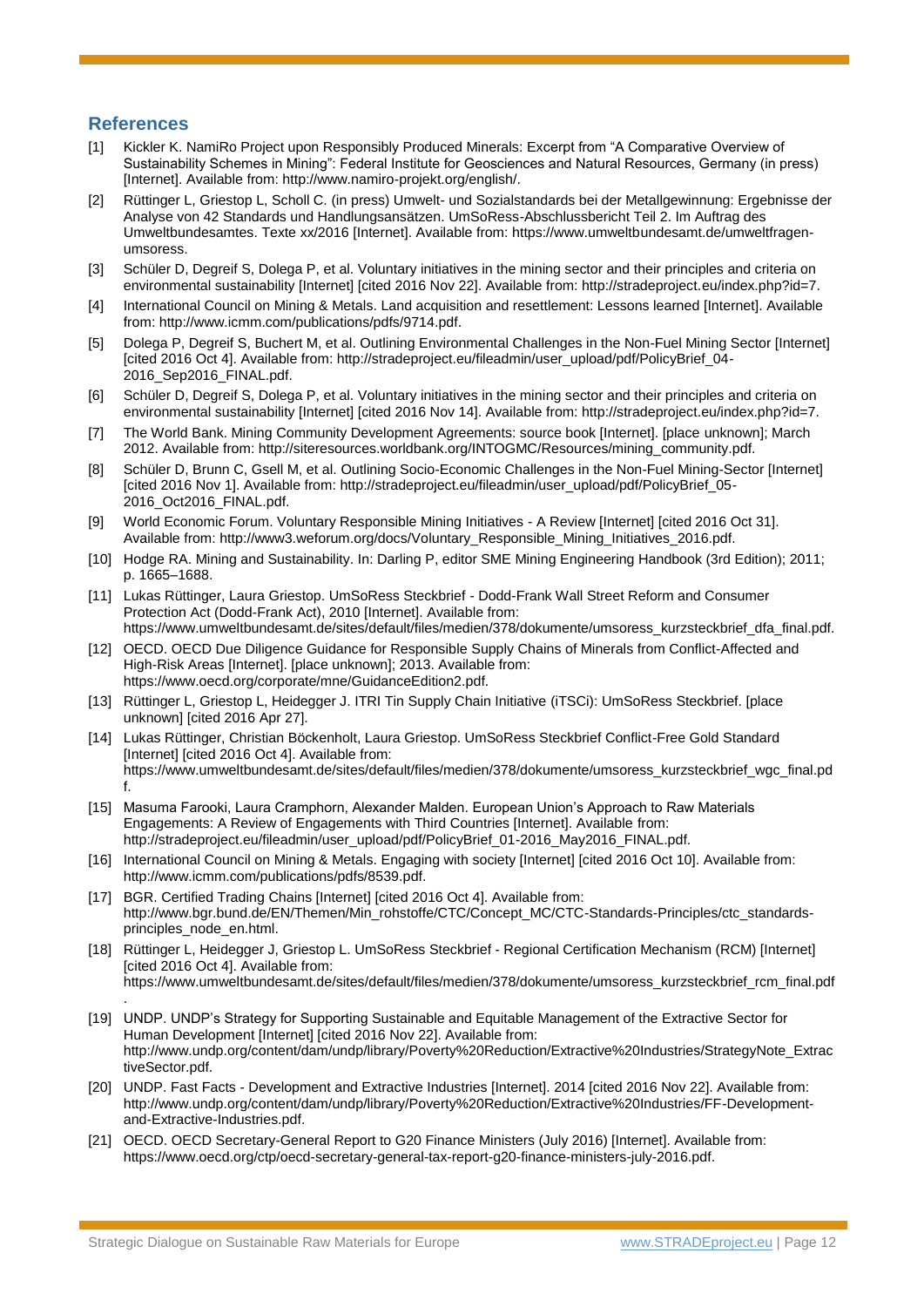#### **References**

.

- [1] Kickler K. NamiRo Project upon Responsibly Produced Minerals: Excerpt from "A Comparative Overview of Sustainability Schemes in Mining": Federal Institute for Geosciences and Natural Resources, Germany (in press) [Internet]. Available from: http://www.namiro-projekt.org/english/.
- [2] Rüttinger L, Griestop L, Scholl C. (in press) Umwelt- und Sozialstandards bei der Metallgewinnung: Ergebnisse der Analyse von 42 Standards und Handlungsansätzen. UmSoRess-Abschlussbericht Teil 2. Im Auftrag des Umweltbundesamtes. Texte xx/2016 [Internet]. Available from: https://www.umweltbundesamt.de/umweltfragenumsoress.
- [3] Schüler D, Degreif S, Dolega P, et al. Voluntary initiatives in the mining sector and their principles and criteria on environmental sustainability [Internet] [cited 2016 Nov 22]. Available from: http://stradeproject.eu/index.php?id=7.
- [4] International Council on Mining & Metals. Land acquisition and resettlement: Lessons learned [Internet]. Available from: http://www.icmm.com/publications/pdfs/9714.pdf.
- [5] Dolega P, Degreif S, Buchert M, et al. Outlining Environmental Challenges in the Non-Fuel Mining Sector [Internet] [cited 2016 Oct 4]. Available from: http://stradeproject.eu/fileadmin/user\_upload/pdf/PolicyBrief\_04- 2016\_Sep2016\_FINAL.pdf.
- [6] Schüler D, Degreif S, Dolega P, et al. Voluntary initiatives in the mining sector and their principles and criteria on environmental sustainability [Internet] [cited 2016 Nov 14]. Available from: http://stradeproject.eu/index.php?id=7.
- [7] The World Bank. Mining Community Development Agreements: source book [Internet]. [place unknown]; March 2012. Available from: http://siteresources.worldbank.org/INTOGMC/Resources/mining\_community.pdf.
- [8] Schüler D, Brunn C, Gsell M, et al. Outlining Socio-Economic Challenges in the Non-Fuel Mining-Sector [Internet] [cited 2016 Nov 1]. Available from: http://stradeproject.eu/fileadmin/user\_upload/pdf/PolicyBrief\_05- 2016\_Oct2016\_FINAL.pdf.
- [9] World Economic Forum. Voluntary Responsible Mining Initiatives A Review [Internet] [cited 2016 Oct 31]. Available from: http://www3.weforum.org/docs/Voluntary\_Responsible\_Mining\_Initiatives\_2016.pdf.
- [10] Hodge RA. Mining and Sustainability. In: Darling P, editor SME Mining Engineering Handbook (3rd Edition); 2011; p. 1665–1688.
- [11] Lukas Rüttinger, Laura Griestop. UmSoRess Steckbrief Dodd-Frank Wall Street Reform and Consumer Protection Act (Dodd-Frank Act), 2010 [Internet]. Available from: https://www.umweltbundesamt.de/sites/default/files/medien/378/dokumente/umsoress\_kurzsteckbrief\_dfa\_final.pdf.
- [12] OECD. OECD Due Diligence Guidance for Responsible Supply Chains of Minerals from Conflict-Affected and High-Risk Areas [Internet]. [place unknown]; 2013. Available from: https://www.oecd.org/corporate/mne/GuidanceEdition2.pdf.
- [13] Rüttinger L, Griestop L, Heidegger J. ITRI Tin Supply Chain Initiative (iTSCi): UmSoRess Steckbrief. [place unknown] [cited 2016 Apr 27].
- [14] Lukas Rüttinger, Christian Böckenholt, Laura Griestop. UmSoRess Steckbrief Conflict-Free Gold Standard [Internet] [cited 2016 Oct 4]. Available from: https://www.umweltbundesamt.de/sites/default/files/medien/378/dokumente/umsoress\_kurzsteckbrief\_wgc\_final.pd f.
- [15] Masuma Farooki, Laura Cramphorn, Alexander Malden. European Union's Approach to Raw Materials Engagements: A Review of Engagements with Third Countries [Internet]. Available from: http://stradeproject.eu/fileadmin/user\_upload/pdf/PolicyBrief\_01-2016\_May2016\_FINAL.pdf.
- [16] International Council on Mining & Metals. Engaging with society [Internet] [cited 2016 Oct 10]. Available from: http://www.icmm.com/publications/pdfs/8539.pdf.
- [17] BGR. Certified Trading Chains [Internet] [cited 2016 Oct 4]. Available from: http://www.bgr.bund.de/EN/Themen/Min\_rohstoffe/CTC/Concept\_MC/CTC-Standards-Principles/ctc\_standardsprinciples\_node\_en.html.
- [18] Rüttinger L, Heidegger J, Griestop L. UmSoRess Steckbrief Regional Certification Mechanism (RCM) [Internet] [cited 2016 Oct 4]. Available from: https://www.umweltbundesamt.de/sites/default/files/medien/378/dokumente/umsoress\_kurzsteckbrief\_rcm\_final.pdf
- [19] UNDP. UNDP's Strategy for Supporting Sustainable and Equitable Management of the Extractive Sector for Human Development [Internet] [cited 2016 Nov 22]. Available from: http://www.undp.org/content/dam/undp/library/Poverty%20Reduction/Extractive%20Industries/StrategyNote\_Extrac tiveSector.pdf.
- [20] UNDP. Fast Facts Development and Extractive Industries [Internet]. 2014 [cited 2016 Nov 22]. Available from: http://www.undp.org/content/dam/undp/library/Poverty%20Reduction/Extractive%20Industries/FF-Developmentand-Extractive-Industries.pdf.
- [21] OECD. OECD Secretary-General Report to G20 Finance Ministers (July 2016) [Internet]. Available from: https://www.oecd.org/ctp/oecd-secretary-general-tax-report-g20-finance-ministers-july-2016.pdf.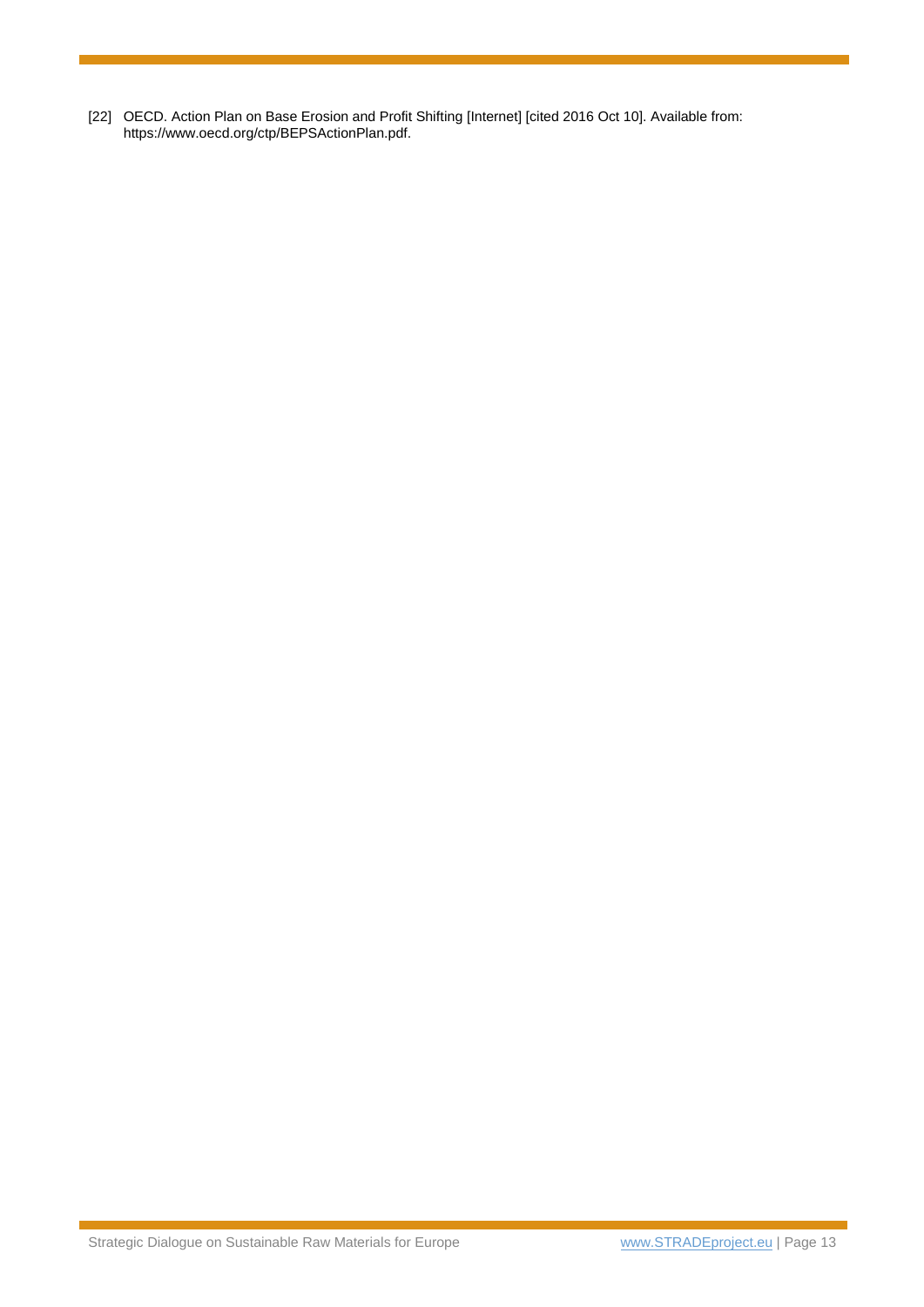[22] OECD. Action Plan on Base Erosion and Profit Shifting [Internet] [cited 2016 Oct 10]. Available from: https://www.oecd.org/ctp/BEPSActionPlan.pdf.